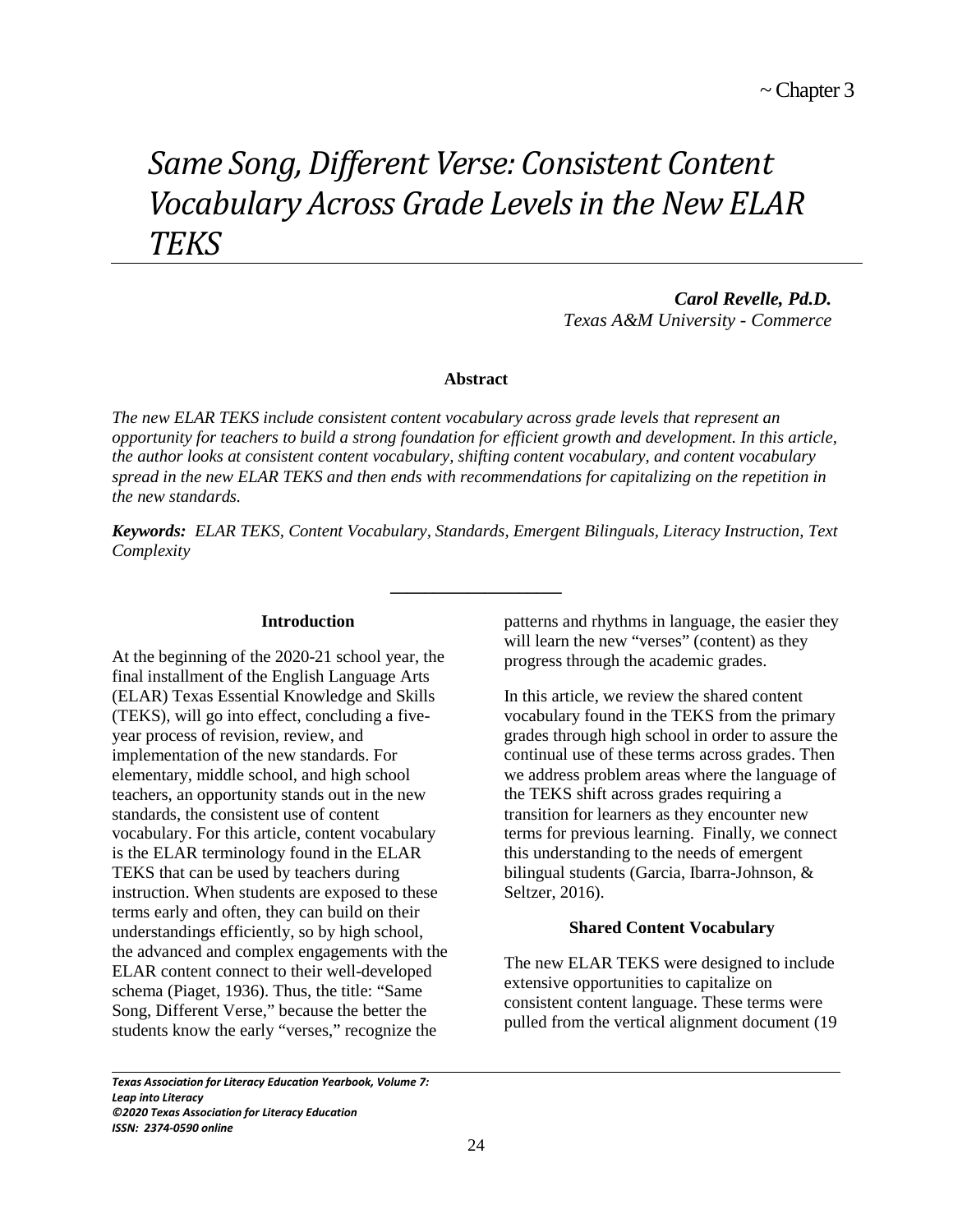# *Same Song, Different Verse: Consistent Content Vocabulary Across Grade Levels in the New ELAR TEKS*

*Carol Revelle, Pd.D. Texas A&M University - Commerce*

# **Abstract**

*The new ELAR TEKS include consistent content vocabulary across grade levels that represent an opportunity for teachers to build a strong foundation for efficient growth and development. In this article, the author looks at consistent content vocabulary, shifting content vocabulary, and content vocabulary spread in the new ELAR TEKS and then ends with recommendations for capitalizing on the repetition in the new standards.* 

*Keywords: ELAR TEKS, Content Vocabulary, Standards, Emergent Bilinguals, Literacy Instruction, Text Complexity*

**\_\_\_\_\_\_\_\_\_\_\_\_\_\_\_\_\_\_\_\_**

# **Introduction**

At the beginning of the 2020-21 school year, the final installment of the English Language Arts (ELAR) Texas Essential Knowledge and Skills (TEKS), will go into effect, concluding a fiveyear process of revision, review, and implementation of the new standards. For elementary, middle school, and high school teachers, an opportunity stands out in the new standards, the consistent use of content vocabulary. For this article, content vocabulary is the ELAR terminology found in the ELAR TEKS that can be used by teachers during instruction. When students are exposed to these terms early and often, they can build on their understandings efficiently, so by high school, the advanced and complex engagements with the ELAR content connect to their well-developed schema (Piaget, 1936). Thus, the title: "Same Song, Different Verse," because the better the students know the early "verses," recognize the

patterns and rhythms in language, the easier they will learn the new "verses" (content) as they progress through the academic grades.

In this article, we review the shared content vocabulary found in the TEKS from the primary grades through high school in order to assure the continual use of these terms across grades. Then we address problem areas where the language of the TEKS shift across grades requiring a transition for learners as they encounter new terms for previous learning. Finally, we connect this understanding to the needs of emergent bilingual students (Garcia, Ibarra-Johnson, & Seltzer, 2016).

# **Shared Content Vocabulary**

The new ELAR TEKS were designed to include extensive opportunities to capitalize on consistent content language. These terms were pulled from the vertical alignment document (19

*Texas Association for Literacy Education Yearbook, Volume 7: Leap into Literacy ©2020 Texas Association for Literacy Education ISSN: 2374-0590 online*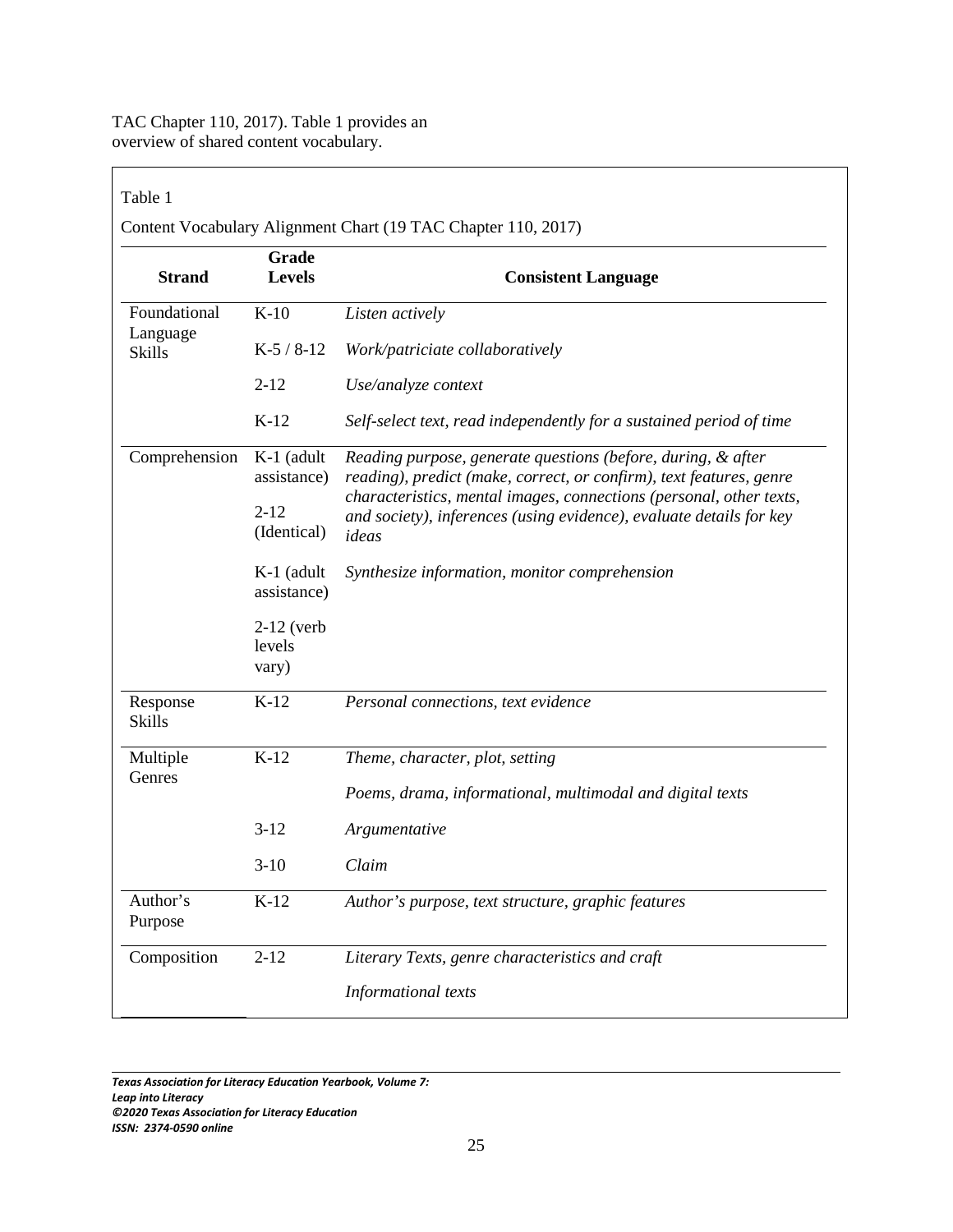TAC Chapter 110, 2017). Table 1 provides an overview of shared content vocabulary.

 $\mathsf{r}$ 

| Grade<br><b>Strand</b><br><b>Levels</b> |                             | <b>Consistent Language</b>                                                                                                                          |  |  |
|-----------------------------------------|-----------------------------|-----------------------------------------------------------------------------------------------------------------------------------------------------|--|--|
| Foundational                            | $K-10$                      | Listen actively                                                                                                                                     |  |  |
| Language<br><b>Skills</b>               | $K-5/8-12$                  | Work/patriciate collaboratively<br>Use/analyze context                                                                                              |  |  |
|                                         | $2 - 12$                    |                                                                                                                                                     |  |  |
|                                         | $K-12$                      | Self-select text, read independently for a sustained period of time                                                                                 |  |  |
| Comprehension                           | $K-1$ (adult<br>assistance) | Reading purpose, generate questions (before, during, & after<br>reading), predict (make, correct, or confirm), text features, genre                 |  |  |
|                                         |                             | characteristics, mental images, connections (personal, other texts,<br>and society), inferences (using evidence), evaluate details for key<br>ideas |  |  |
|                                         | $2 - 12$<br>(Identical)     |                                                                                                                                                     |  |  |
|                                         | $K-1$ (adult<br>assistance) | Synthesize information, monitor comprehension                                                                                                       |  |  |
|                                         | $2-12$ (verb)<br>levels     |                                                                                                                                                     |  |  |
|                                         | vary)                       |                                                                                                                                                     |  |  |
| Response<br><b>Skills</b>               | $K-12$                      | Personal connections, text evidence                                                                                                                 |  |  |
| Multiple                                | $K-12$                      | Theme, character, plot, setting                                                                                                                     |  |  |
| Genres                                  |                             | Poems, drama, informational, multimodal and digital texts                                                                                           |  |  |
|                                         | $3-12$                      | Argumentative                                                                                                                                       |  |  |
|                                         | $3-10$                      | Claim                                                                                                                                               |  |  |
| Author's<br>Purpose                     | $K-12$                      | Author's purpose, text structure, graphic features                                                                                                  |  |  |
| Composition                             | $2 - 12$                    | Literary Texts, genre characteristics and craft                                                                                                     |  |  |
|                                         |                             | Informational texts                                                                                                                                 |  |  |
|                                         |                             |                                                                                                                                                     |  |  |

*Texas Association for Literacy Education Yearbook, Volume 7: Leap into Literacy ©2020 Texas Association for Literacy Education ISSN: 2374-0590 online*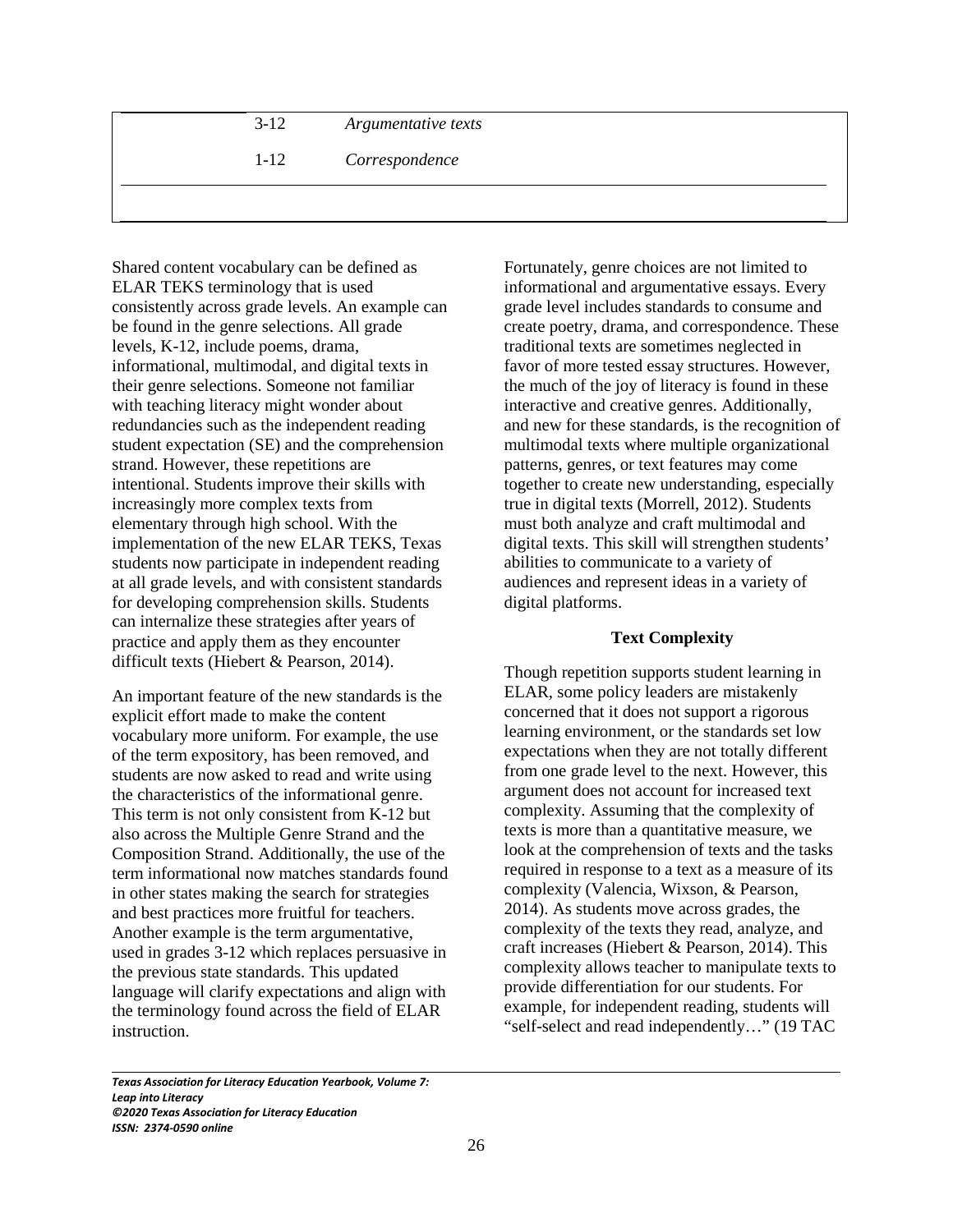| $3-12$ | Argumentative texts |
|--------|---------------------|
| $1-12$ | Correspondence      |
|        |                     |

Shared content vocabulary can be defined as ELAR TEKS terminology that is used consistently across grade levels. An example can be found in the genre selections. All grade levels, K-12, include poems, drama, informational, multimodal, and digital texts in their genre selections. Someone not familiar with teaching literacy might wonder about redundancies such as the independent reading student expectation (SE) and the comprehension strand. However, these repetitions are intentional. Students improve their skills with increasingly more complex texts from elementary through high school. With the implementation of the new ELAR TEKS, Texas students now participate in independent reading at all grade levels, and with consistent standards for developing comprehension skills. Students can internalize these strategies after years of practice and apply them as they encounter difficult texts (Hiebert & Pearson, 2014).

An important feature of the new standards is the explicit effort made to make the content vocabulary more uniform. For example, the use of the term expository, has been removed, and students are now asked to read and write using the characteristics of the informational genre. This term is not only consistent from K-12 but also across the Multiple Genre Strand and the Composition Strand. Additionally, the use of the term informational now matches standards found in other states making the search for strategies and best practices more fruitful for teachers. Another example is the term argumentative, used in grades 3-12 which replaces persuasive in the previous state standards. This updated language will clarify expectations and align with the terminology found across the field of ELAR instruction.

Fortunately, genre choices are not limited to informational and argumentative essays. Every grade level includes standards to consume and create poetry, drama, and correspondence. These traditional texts are sometimes neglected in favor of more tested essay structures. However, the much of the joy of literacy is found in these interactive and creative genres. Additionally, and new for these standards, is the recognition of multimodal texts where multiple organizational patterns, genres, or text features may come together to create new understanding, especially true in digital texts (Morrell, 2012). Students must both analyze and craft multimodal and digital texts. This skill will strengthen students' abilities to communicate to a variety of audiences and represent ideas in a variety of digital platforms.

# **Text Complexity**

Though repetition supports student learning in ELAR, some policy leaders are mistakenly concerned that it does not support a rigorous learning environment, or the standards set low expectations when they are not totally different from one grade level to the next. However, this argument does not account for increased text complexity. Assuming that the complexity of texts is more than a quantitative measure, we look at the comprehension of texts and the tasks required in response to a text as a measure of its complexity (Valencia, Wixson, & Pearson, 2014). As students move across grades, the complexity of the texts they read, analyze, and craft increases (Hiebert & Pearson, 2014). This complexity allows teacher to manipulate texts to provide differentiation for our students. For example, for independent reading, students will "self-select and read independently…" (19 TAC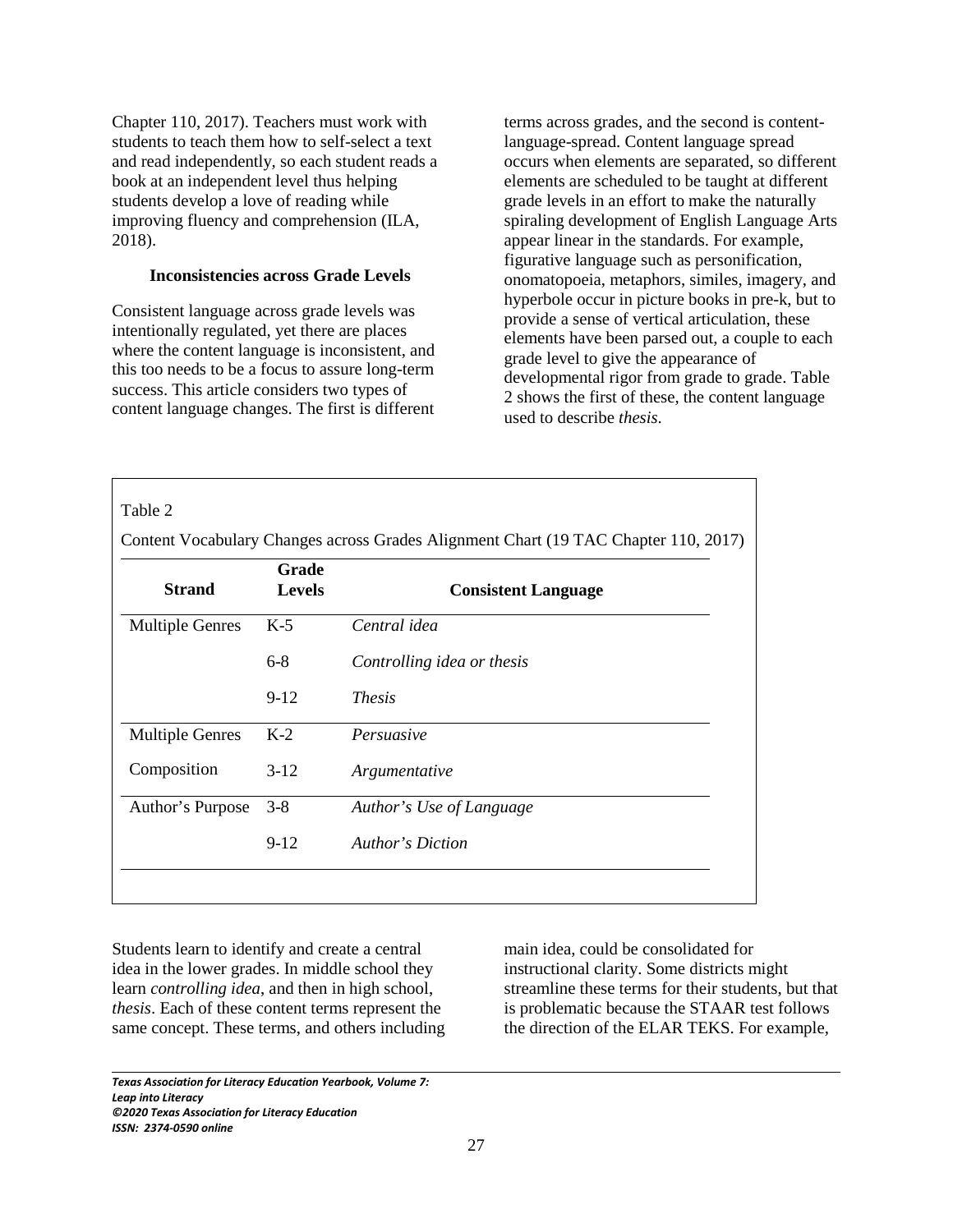Chapter 110, 2017). Teachers must work with students to teach them how to self-select a text and read independently, so each student reads a book at an independent level thus helping students develop a love of reading while improving fluency and comprehension (ILA, 2018).

# **Inconsistencies across Grade Levels**

Consistent language across grade levels was intentionally regulated, yet there are places where the content language is inconsistent, and this too needs to be a focus to assure long-term success. This article considers two types of content language changes. The first is different terms across grades, and the second is contentlanguage-spread. Content language spread occurs when elements are separated, so different elements are scheduled to be taught at different grade levels in an effort to make the naturally spiraling development of English Language Arts appear linear in the standards. For example, figurative language such as personification, onomatopoeia, metaphors, similes, imagery, and hyperbole occur in picture books in pre-k, but to provide a sense of vertical articulation, these elements have been parsed out, a couple to each grade level to give the appearance of developmental rigor from grade to grade. Table 2 shows the first of these, the content language used to describe *thesis*.

|                                         |         | Content Vocabulary Changes across Grades Alignment Chart (19 TAC Chapter 110, 2017) |  |
|-----------------------------------------|---------|-------------------------------------------------------------------------------------|--|
| Grade<br><b>Strand</b><br><b>Levels</b> |         | <b>Consistent Language</b>                                                          |  |
| <b>Multiple Genres</b>                  | $K-5$   | Central idea                                                                        |  |
|                                         | $6 - 8$ | Controlling idea or thesis                                                          |  |
|                                         | $9-12$  | <i>Thesis</i>                                                                       |  |
| <b>Multiple Genres</b>                  | $K-2$   | Persuasive                                                                          |  |
| Composition                             | $3-12$  | Argumentative                                                                       |  |
| Author's Purpose                        | $3 - 8$ | Author's Use of Language                                                            |  |
|                                         | $9-12$  | Author's Diction                                                                    |  |

Students learn to identify and create a central idea in the lower grades. In middle school they learn *controlling idea*, and then in high school, *thesis*. Each of these content terms represent the same concept. These terms, and others including main idea, could be consolidated for instructional clarity. Some districts might streamline these terms for their students, but that is problematic because the STAAR test follows the direction of the ELAR TEKS. For example,

*Texas Association for Literacy Education Yearbook, Volume 7: Leap into Literacy ©2020 Texas Association for Literacy Education ISSN: 2374-0590 online*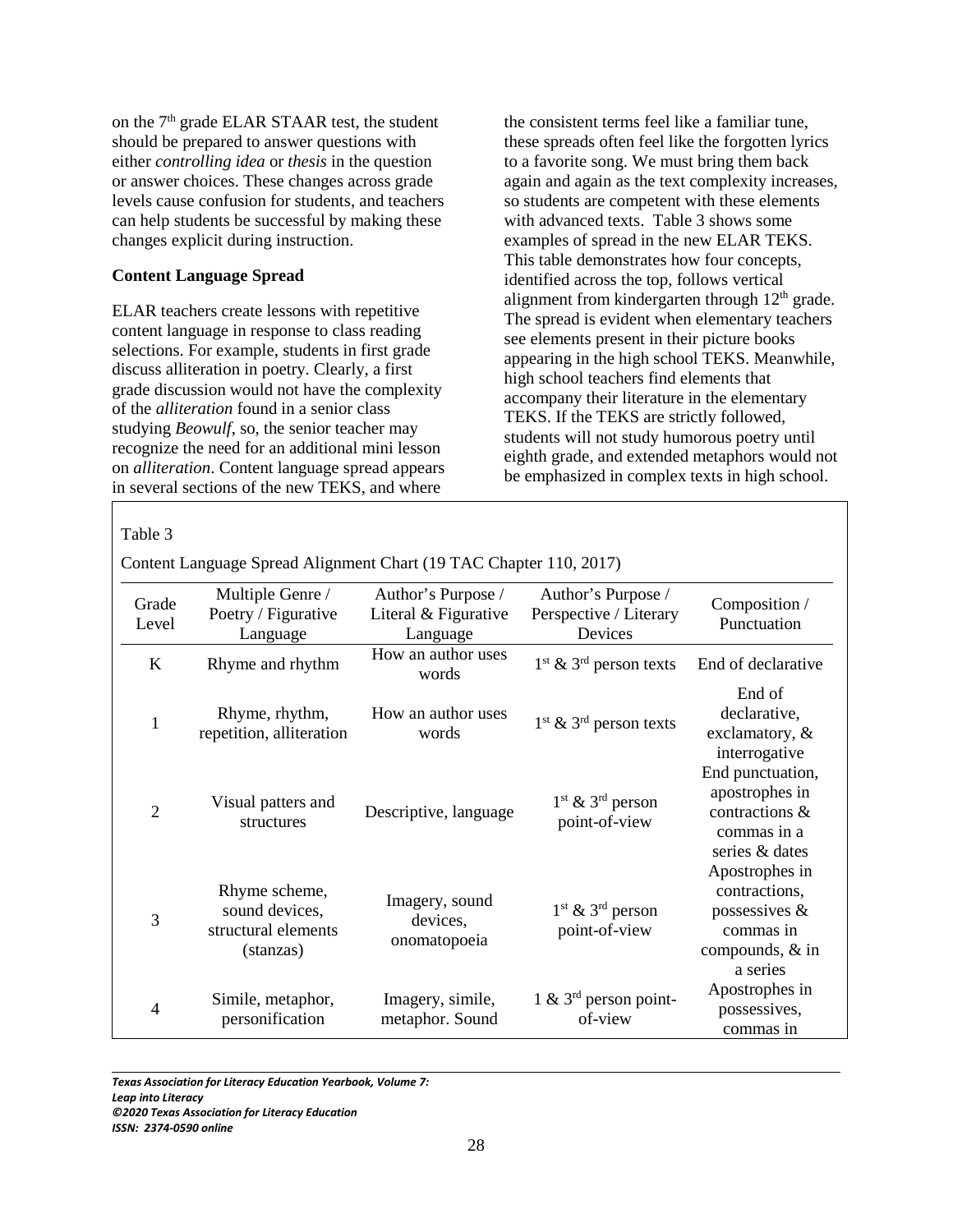on the 7<sup>th</sup> grade ELAR STAAR test, the student should be prepared to answer questions with either *controlling idea* or *thesis* in the question or answer choices. These changes across grade levels cause confusion for students, and teachers can help students be successful by making these changes explicit during instruction.

# **Content Language Spread**

ELAR teachers create lessons with repetitive content language in response to class reading selections. For example, students in first grade discuss alliteration in poetry. Clearly, a first grade discussion would not have the complexity of the *alliteration* found in a senior class studying *Beowulf*, so, the senior teacher may recognize the need for an additional mini lesson on *alliteration*. Content language spread appears in several sections of the new TEKS, and where

the consistent terms feel like a familiar tune, these spreads often feel like the forgotten lyrics to a favorite song. We must bring them back again and again as the text complexity increases, so students are competent with these elements with advanced texts. Table 3 shows some examples of spread in the new ELAR TEKS. This table demonstrates how four concepts, identified across the top, follows vertical alignment from kindergarten through  $12<sup>th</sup>$  grade. The spread is evident when elementary teachers see elements present in their picture books appearing in the high school TEKS. Meanwhile, high school teachers find elements that accompany their literature in the elementary TEKS. If the TEKS are strictly followed, students will not study humorous poetry until eighth grade, and extended metaphors would not be emphasized in complex texts in high school.

Table 3

Content Language Spread Alignment Chart (19 TAC Chapter 110, 2017)

| Grade<br>Level | Multiple Genre /<br>Poetry / Figurative<br>Language                 | Author's Purpose /<br>Literal & Figurative<br>Language | Author's Purpose /<br>Perspective / Literary<br>Devices | Composition /<br>Punctuation                                                                    |
|----------------|---------------------------------------------------------------------|--------------------------------------------------------|---------------------------------------------------------|-------------------------------------------------------------------------------------------------|
| $\bf K$        | Rhyme and rhythm                                                    | How an author uses<br>words                            | $1st$ & 3 <sup>rd</sup> person texts                    | End of declarative                                                                              |
| 1              | Rhyme, rhythm,<br>repetition, alliteration                          | How an author uses<br>words                            | $1st$ & 3 <sup>rd</sup> person texts                    | End of<br>declarative,<br>exclamatory, $\&$<br>interrogative                                    |
| $\overline{c}$ | Visual patters and<br>structures                                    | Descriptive, language                                  | $1st$ & $3rd$ person<br>point-of-view                   | End punctuation,<br>apostrophes in<br>contractions &<br>commas in a<br>series & dates           |
| 3              | Rhyme scheme,<br>sound devices,<br>structural elements<br>(stanzas) | Imagery, sound<br>devices,<br>onomatopoeia             | $1st$ & $3rd$ person<br>point-of-view                   | Apostrophes in<br>contractions,<br>possessives $\&$<br>commas in<br>compounds, & in<br>a series |
| $\overline{4}$ | Simile, metaphor,<br>personification                                | Imagery, simile,<br>metaphor. Sound                    | 1 & $3rd$ person point-<br>of-view                      | Apostrophes in<br>possessives,<br>commas in                                                     |

 $\overline{\phantom{0}}$ *Texas Association for Literacy Education Yearbook, Volume 7:* 

*Leap into Literacy* 

*©2020 Texas Association for Literacy Education*

*ISSN: 2374-0590 online*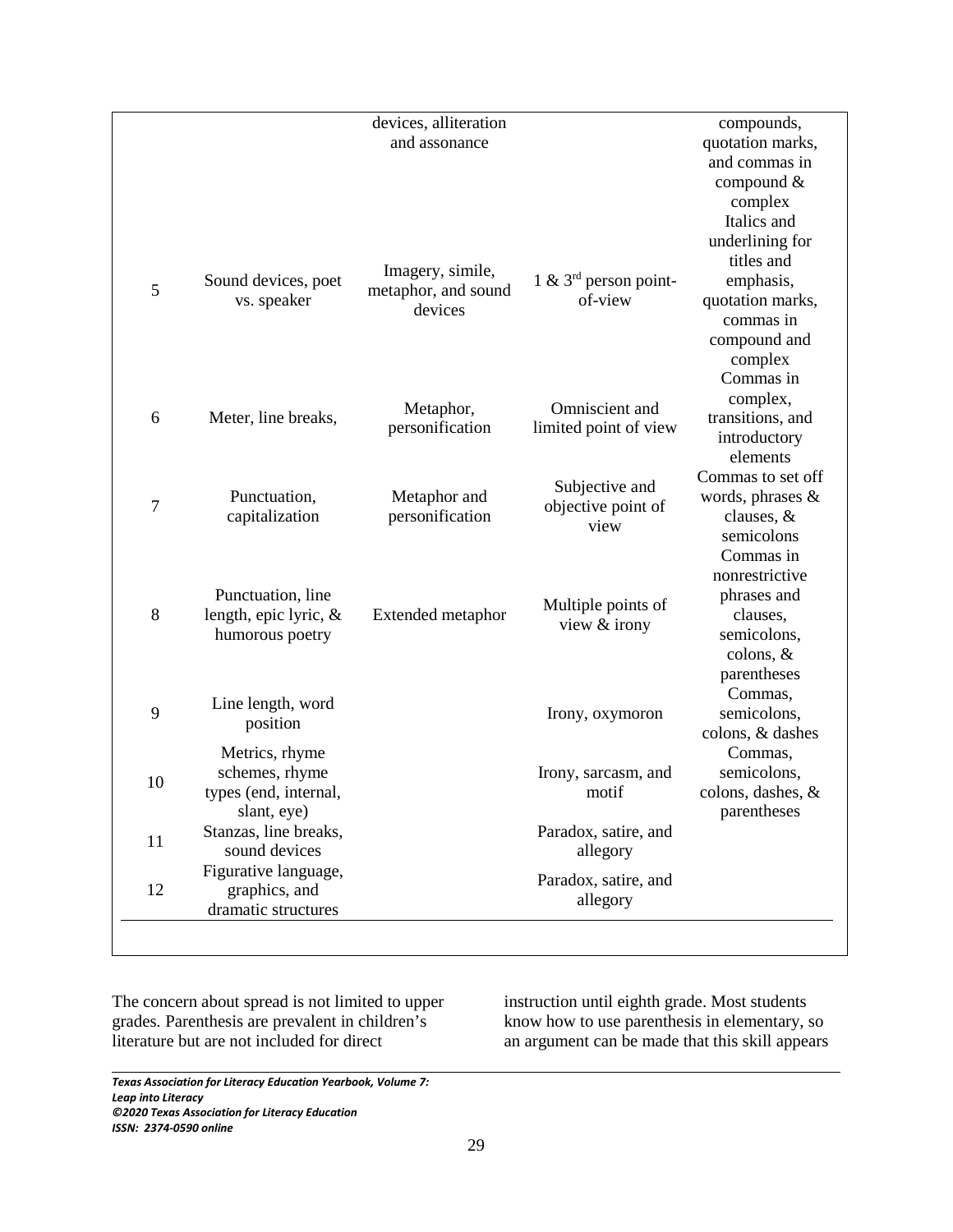|                |                       | devices, alliteration          |                         | compounds,        |
|----------------|-----------------------|--------------------------------|-------------------------|-------------------|
|                |                       | and assonance                  |                         | quotation marks,  |
|                |                       |                                |                         | and commas in     |
|                |                       |                                |                         | compound &        |
|                |                       |                                |                         | complex           |
|                |                       |                                |                         | Italics and       |
|                |                       |                                |                         | underlining for   |
|                |                       |                                |                         | titles and        |
|                | Sound devices, poet   | Imagery, simile,               | 1 & $3rd$ person point- | emphasis,         |
| 5              | vs. speaker           | metaphor, and sound<br>devices | of-view                 | quotation marks,  |
|                |                       |                                |                         | commas in         |
|                |                       |                                |                         | compound and      |
|                |                       |                                |                         | complex           |
|                |                       |                                |                         | Commas in         |
|                |                       |                                |                         | complex,          |
| 6              | Meter, line breaks,   | Metaphor,                      | Omniscient and          | transitions, and  |
|                |                       | personification                | limited point of view   | introductory      |
|                |                       |                                |                         | elements          |
|                |                       |                                |                         | Commas to set off |
|                | Punctuation,          | Metaphor and                   | Subjective and          | words, phrases &  |
| $\overline{7}$ | capitalization        | personification                | objective point of      | clauses, &        |
|                |                       |                                | view                    | semicolons        |
|                |                       |                                |                         | Commas in         |
|                |                       |                                |                         | nonrestrictive    |
|                | Punctuation, line     |                                |                         | phrases and       |
| 8              | length, epic lyric, & | Extended metaphor              | Multiple points of      | clauses,          |
|                | humorous poetry       | view & irony                   |                         | semicolons,       |
|                |                       |                                | colons, $&$             |                   |
|                |                       |                                |                         | parentheses       |
|                |                       |                                |                         | Commas,           |
| 9              | Line length, word     |                                | Irony, oxymoron         | semicolons,       |
|                | position              |                                |                         | colons, & dashes  |
|                | Metrics, rhyme        |                                |                         | Commas,           |
|                | schemes, rhyme        |                                | Irony, sarcasm, and     | semicolons,       |
| 10             | types (end, internal, |                                | motif                   | colons, dashes, & |
|                | slant, eye)           |                                |                         | parentheses       |
|                | Stanzas, line breaks, |                                | Paradox, satire, and    |                   |
| 11             | sound devices         |                                | allegory                |                   |
|                | Figurative language,  |                                |                         |                   |
| 12             | graphics, and         |                                | Paradox, satire, and    |                   |
|                | dramatic structures   |                                | allegory                |                   |

The concern about spread is not limited to upper grades*.* Parenthesis are prevalent in children's literature but are not included for direct

instruction until eighth grade. Most students know how to use parenthesis in elementary, so an argument can be made that this skill appears

*Texas Association for Literacy Education Yearbook, Volume 7: Leap into Literacy ©2020 Texas Association for Literacy Education ISSN: 2374-0590 online*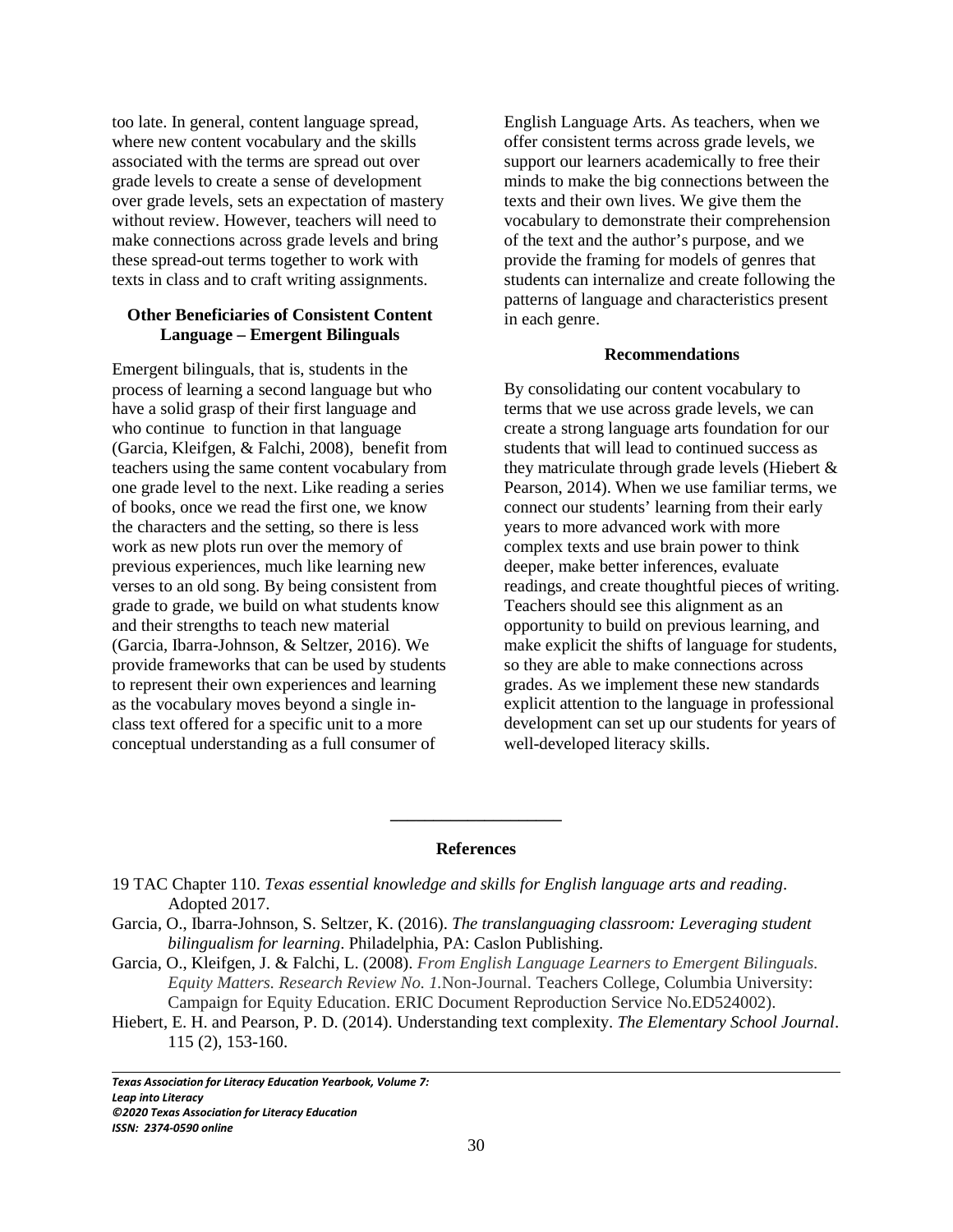too late. In general, content language spread, where new content vocabulary and the skills associated with the terms are spread out over grade levels to create a sense of development over grade levels, sets an expectation of mastery without review. However, teachers will need to make connections across grade levels and bring these spread-out terms together to work with texts in class and to craft writing assignments.

# **Other Beneficiaries of Consistent Content Language – Emergent Bilinguals**

Emergent bilinguals, that is, students in the process of learning a second language but who have a solid grasp of their first language and who continue to function in that language (Garcia, Kleifgen, & Falchi, 2008), benefit from teachers using the same content vocabulary from one grade level to the next. Like reading a series of books, once we read the first one, we know the characters and the setting, so there is less work as new plots run over the memory of previous experiences, much like learning new verses to an old song. By being consistent from grade to grade, we build on what students know and their strengths to teach new material (Garcia, Ibarra-Johnson, & Seltzer, 2016). We provide frameworks that can be used by students to represent their own experiences and learning as the vocabulary moves beyond a single inclass text offered for a specific unit to a more conceptual understanding as a full consumer of

English Language Arts. As teachers, when we offer consistent terms across grade levels, we support our learners academically to free their minds to make the big connections between the texts and their own lives. We give them the vocabulary to demonstrate their comprehension of the text and the author's purpose, and we provide the framing for models of genres that students can internalize and create following the patterns of language and characteristics present in each genre.

#### **Recommendations**

By consolidating our content vocabulary to terms that we use across grade levels, we can create a strong language arts foundation for our students that will lead to continued success as they matriculate through grade levels (Hiebert & Pearson, 2014). When we use familiar terms, we connect our students' learning from their early years to more advanced work with more complex texts and use brain power to think deeper, make better inferences, evaluate readings, and create thoughtful pieces of writing. Teachers should see this alignment as an opportunity to build on previous learning, and make explicit the shifts of language for students, so they are able to make connections across grades. As we implement these new standards explicit attention to the language in professional development can set up our students for years of well-developed literacy skills.

#### **References**

**\_\_\_\_\_\_\_\_\_\_\_\_\_\_\_\_\_\_\_\_**

- 19 TAC Chapter 110. *Texas essential knowledge and skills for English language arts and reading*. Adopted 2017.
- Garcia, O., Ibarra-Johnson, S. Seltzer, K. (2016). *The translanguaging classroom: Leveraging student bilingualism for learning*. Philadelphia, PA: Caslon Publishing.
- Garcia, O., Kleifgen, J. & Falchi, L. (2008). *From English Language Learners to Emergent Bilinguals. Equity Matters. Research Review No. 1.*Non-Journal. Teachers College, Columbia University: Campaign for Equity Education. ERIC Document Reproduction Service No.ED524002).
- Hiebert, E. H. and Pearson, P. D. (2014). Understanding text complexity. *The Elementary School Journal*. 115 (2), 153-160.

*Texas Association for Literacy Education Yearbook, Volume 7: Leap into Literacy ©2020 Texas Association for Literacy Education ISSN: 2374-0590 online*